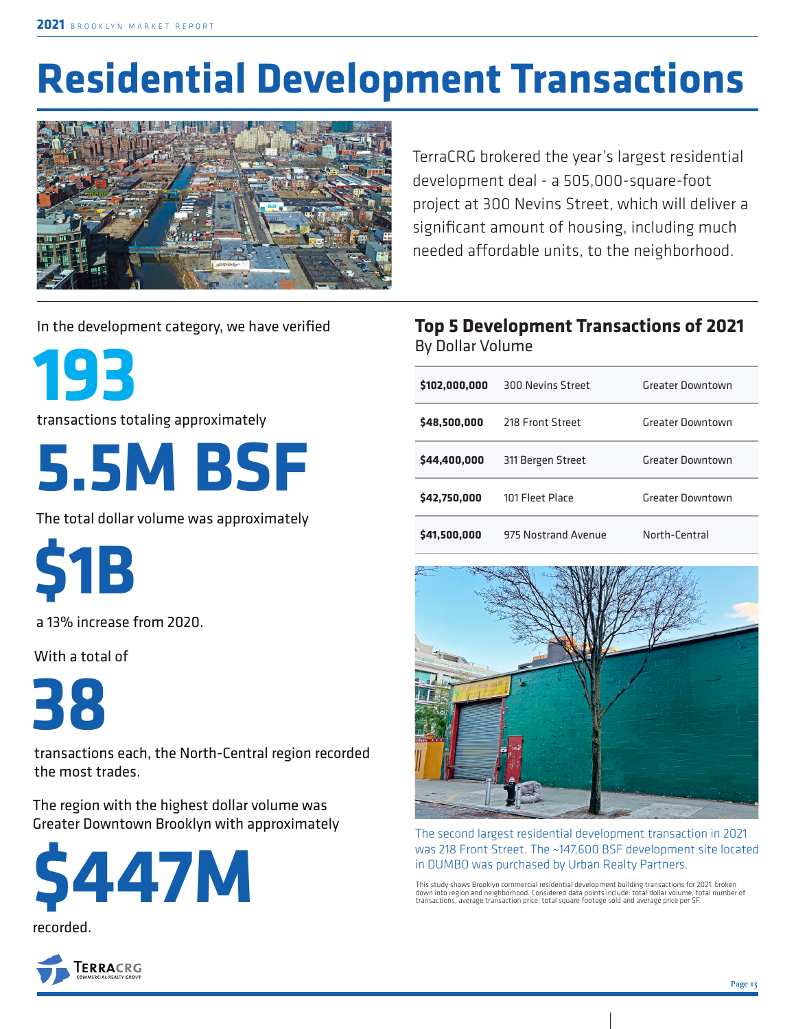# **Residential Development Transactions**



TerraCRG brokered the year's largest residential development deal - a 505,000-square-foot project at 300 Nevins Street, which will deliver a significant amount of housing, including much needed affordable units, to the neighborhood.

In the development category, we have verified

**193**

transactions totaling approximately



The total dollar volume was approximately

**\$1B**

a 13% increase from 2020.

With a total of

**38** 

transactions each, the North-Central region recorded the most trades.

The region with the highest dollar volume was Greater Downtown Brooklyn with approximately





#### **Top 5 Development Transactions of 2021**  By Dollar Volume

| \$102,000,000 | 300 Nevins Street   | Greater Downtown |
|---------------|---------------------|------------------|
| \$48,500,000  | 218 Front Street    | Greater Downtown |
| \$44,400,000  | 311 Bergen Street   | Greater Downtown |
| \$42,750,000  | 101 Fleet Place     | Greater Downtown |
| \$41,500,000  | 975 Nostrand Avenue | North-Central    |



The second largest residential development transaction in 2021 was 218 Front Street. The ~147,600 BSF development site located in DUMBO was purchased by Urban Realty Partners.

This study shows Brooklyn commercial residential development building transactions for 2021, broken down into region and neighborhood. Considered data points include: total dollar volume, total number of transactions, average transaction price, total square footage sold and average price per SF.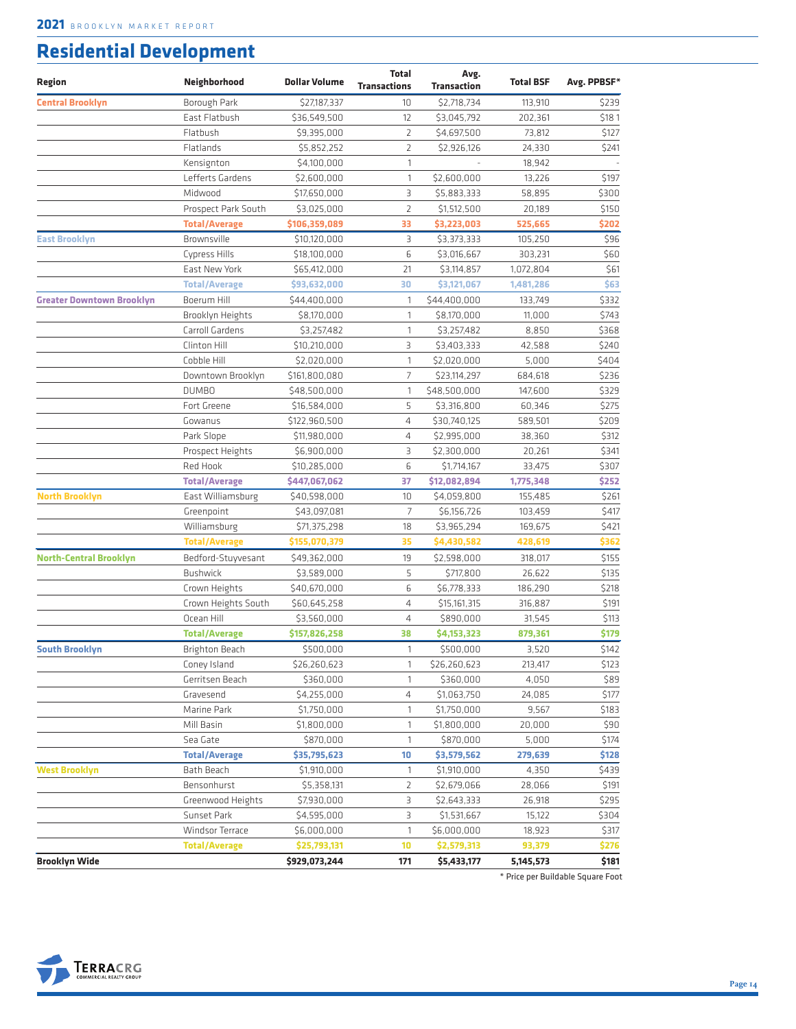## **Residential Development**

| <b>Central Brooklyn</b><br>Borough Park<br>\$27,187,337<br>\$2,718,734<br>113,910<br>\$239<br>10<br>East Flatbush<br>\$181<br>12<br>\$3,045,792<br>202,361<br>\$36,549,500<br>Flatbush<br>$\overline{2}$<br>\$4,697,500<br>73,812<br>\$127<br>\$9,395,000<br>Flatlands<br>2<br>\$2,926,126<br>24,330<br>\$241<br>\$5,852,252<br>Kensignton<br>\$4,100,000<br>1<br>18,942<br>\$197<br>Lefferts Gardens<br>\$2,600,000<br>\$2,600,000<br>1<br>13,226<br>\$300<br>Midwood<br>З<br>\$17,650,000<br>\$5,883,333<br>58,895<br>$\overline{2}$<br>\$150<br>Prospect Park South<br>\$3,025,000<br>\$1,512,500<br>20,189<br>\$202<br><b>Total/Average</b><br>\$106,359,089<br>33<br>\$3,223,003<br>525,665<br>\$96<br>Brownsville<br>З<br>East Brooklyn<br>\$10,120,000<br>\$3,373,333<br>105,250<br>6<br>\$60<br>303,231<br>Cypress Hills<br>\$18,100,000<br>\$3,016,667<br>\$61<br>East New York<br>\$65,412,000<br>21<br>\$3,114,857<br>1,072,804<br>\$63<br><b>Total/Average</b><br>\$93,632,000<br>30<br>\$3,121,067<br>1,481,286<br>\$332<br><b>Greater Downtown Brooklyn</b><br>Boerum Hill<br>\$44,400,000<br>1<br>\$44,400,000<br>133,749<br>\$743<br>\$8,170,000<br>\$8,170,000<br>Brooklyn Heights<br>1<br>11,000<br>\$368<br>Carroll Gardens<br>\$3,257,482<br>$\mathbf{1}$<br>\$3,257,482<br>8,850<br>Clinton Hill<br>\$240<br>\$10,210,000<br>3<br>\$3,403,333<br>42,588<br>\$404<br>Cobble Hill<br>\$2,020,000<br>\$2,020,000<br>5,000<br>1<br>\$236<br>Downtown Brooklyn<br>\$161,800,080<br>$\overline{7}$<br>\$23,114,297<br>684,618<br>\$329<br><b>DUMBO</b><br>\$48,500,000<br>\$48,500,000<br>1<br>147,600<br>\$275<br>Fort Greene<br>5<br>\$3,316,800<br>\$16,584,000<br>60,346<br>\$209<br>Gowanus<br>$\overline{4}$<br>\$122,960,500<br>\$30,740,125<br>589,501<br>\$312<br>Park Slope<br>\$11,980,000<br>$\overline{4}$<br>\$2,995,000<br>38,360<br>\$341<br>Prospect Heights<br>3<br>\$2,300,000<br>\$6,900,000<br>20,261<br>6<br>\$307<br>Red Hook<br>\$10,285,000<br>\$1,714,167<br>33,475<br>\$252<br>37<br><b>Total/Average</b><br>\$447,067,062<br>\$12,082,894<br>1,775,348<br>\$261<br><b>North Brooklyn</b><br>East Williamsburg<br>\$4,059,800<br>\$40,598,000<br>10<br>155,485<br>$\overline{7}$<br>\$417<br>Greenpoint<br>\$43,097,081<br>\$6,156,726<br>103,459<br>\$421<br>Williamsburg<br>\$71,375,298<br>18<br>\$3,965,294<br>169,675<br>\$362<br><b>Total/Average</b><br>35<br>\$4,430,582<br>428,619<br>\$155,070,379<br>\$155<br><b>North-Central Brooklyn</b><br>Bedford-Stuyvesant<br>\$49,362,000<br>19<br>\$2,598,000<br>318,017<br>5<br>\$135<br><b>Bushwick</b><br>\$3,589,000<br>\$717,800<br>26,622<br>6<br>Crown Heights<br>\$218<br>\$40,670,000<br>\$6,778,333<br>186,290<br>\$191<br>\$60,645,258<br>4<br>\$15,161,315<br>316,887<br>Crown Heights South<br>\$113<br>Ocean Hill<br>\$3,560,000<br>$\overline{4}$<br>\$890,000<br>31,545<br>\$179<br><b>Total/Average</b><br>\$157,826,258<br>38<br>\$4,153,323<br>879,361<br>\$142<br>Brighton Beach<br>\$500,000<br>\$500,000<br>3,520<br><b>South Brooklyn</b><br>1<br>Coney Island<br>\$26,260,623<br>\$26,260,623<br>213,417<br>\$123<br>1<br>\$89<br>Gerritsen Beach<br>\$360,000<br>$\mathbf{1}$<br>\$360,000<br>4,050 |
|----------------------------------------------------------------------------------------------------------------------------------------------------------------------------------------------------------------------------------------------------------------------------------------------------------------------------------------------------------------------------------------------------------------------------------------------------------------------------------------------------------------------------------------------------------------------------------------------------------------------------------------------------------------------------------------------------------------------------------------------------------------------------------------------------------------------------------------------------------------------------------------------------------------------------------------------------------------------------------------------------------------------------------------------------------------------------------------------------------------------------------------------------------------------------------------------------------------------------------------------------------------------------------------------------------------------------------------------------------------------------------------------------------------------------------------------------------------------------------------------------------------------------------------------------------------------------------------------------------------------------------------------------------------------------------------------------------------------------------------------------------------------------------------------------------------------------------------------------------------------------------------------------------------------------------------------------------------------------------------------------------------------------------------------------------------------------------------------------------------------------------------------------------------------------------------------------------------------------------------------------------------------------------------------------------------------------------------------------------------------------------------------------------------------------------------------------------------------------------------------------------------------------------------------------------------------------------------------------------------------------------------------------------------------------------------------------------------------------------------------------------------------------------------------------------------------------------------------------------------------------------------------------------------------------------------------------------------------------------------------------------------------------------------------------------------------------------------------------------------------------------------------------------------------------------------------------------------------------|
|                                                                                                                                                                                                                                                                                                                                                                                                                                                                                                                                                                                                                                                                                                                                                                                                                                                                                                                                                                                                                                                                                                                                                                                                                                                                                                                                                                                                                                                                                                                                                                                                                                                                                                                                                                                                                                                                                                                                                                                                                                                                                                                                                                                                                                                                                                                                                                                                                                                                                                                                                                                                                                                                                                                                                                                                                                                                                                                                                                                                                                                                                                                                                                                                                            |
|                                                                                                                                                                                                                                                                                                                                                                                                                                                                                                                                                                                                                                                                                                                                                                                                                                                                                                                                                                                                                                                                                                                                                                                                                                                                                                                                                                                                                                                                                                                                                                                                                                                                                                                                                                                                                                                                                                                                                                                                                                                                                                                                                                                                                                                                                                                                                                                                                                                                                                                                                                                                                                                                                                                                                                                                                                                                                                                                                                                                                                                                                                                                                                                                                            |
|                                                                                                                                                                                                                                                                                                                                                                                                                                                                                                                                                                                                                                                                                                                                                                                                                                                                                                                                                                                                                                                                                                                                                                                                                                                                                                                                                                                                                                                                                                                                                                                                                                                                                                                                                                                                                                                                                                                                                                                                                                                                                                                                                                                                                                                                                                                                                                                                                                                                                                                                                                                                                                                                                                                                                                                                                                                                                                                                                                                                                                                                                                                                                                                                                            |
|                                                                                                                                                                                                                                                                                                                                                                                                                                                                                                                                                                                                                                                                                                                                                                                                                                                                                                                                                                                                                                                                                                                                                                                                                                                                                                                                                                                                                                                                                                                                                                                                                                                                                                                                                                                                                                                                                                                                                                                                                                                                                                                                                                                                                                                                                                                                                                                                                                                                                                                                                                                                                                                                                                                                                                                                                                                                                                                                                                                                                                                                                                                                                                                                                            |
|                                                                                                                                                                                                                                                                                                                                                                                                                                                                                                                                                                                                                                                                                                                                                                                                                                                                                                                                                                                                                                                                                                                                                                                                                                                                                                                                                                                                                                                                                                                                                                                                                                                                                                                                                                                                                                                                                                                                                                                                                                                                                                                                                                                                                                                                                                                                                                                                                                                                                                                                                                                                                                                                                                                                                                                                                                                                                                                                                                                                                                                                                                                                                                                                                            |
|                                                                                                                                                                                                                                                                                                                                                                                                                                                                                                                                                                                                                                                                                                                                                                                                                                                                                                                                                                                                                                                                                                                                                                                                                                                                                                                                                                                                                                                                                                                                                                                                                                                                                                                                                                                                                                                                                                                                                                                                                                                                                                                                                                                                                                                                                                                                                                                                                                                                                                                                                                                                                                                                                                                                                                                                                                                                                                                                                                                                                                                                                                                                                                                                                            |
|                                                                                                                                                                                                                                                                                                                                                                                                                                                                                                                                                                                                                                                                                                                                                                                                                                                                                                                                                                                                                                                                                                                                                                                                                                                                                                                                                                                                                                                                                                                                                                                                                                                                                                                                                                                                                                                                                                                                                                                                                                                                                                                                                                                                                                                                                                                                                                                                                                                                                                                                                                                                                                                                                                                                                                                                                                                                                                                                                                                                                                                                                                                                                                                                                            |
|                                                                                                                                                                                                                                                                                                                                                                                                                                                                                                                                                                                                                                                                                                                                                                                                                                                                                                                                                                                                                                                                                                                                                                                                                                                                                                                                                                                                                                                                                                                                                                                                                                                                                                                                                                                                                                                                                                                                                                                                                                                                                                                                                                                                                                                                                                                                                                                                                                                                                                                                                                                                                                                                                                                                                                                                                                                                                                                                                                                                                                                                                                                                                                                                                            |
|                                                                                                                                                                                                                                                                                                                                                                                                                                                                                                                                                                                                                                                                                                                                                                                                                                                                                                                                                                                                                                                                                                                                                                                                                                                                                                                                                                                                                                                                                                                                                                                                                                                                                                                                                                                                                                                                                                                                                                                                                                                                                                                                                                                                                                                                                                                                                                                                                                                                                                                                                                                                                                                                                                                                                                                                                                                                                                                                                                                                                                                                                                                                                                                                                            |
|                                                                                                                                                                                                                                                                                                                                                                                                                                                                                                                                                                                                                                                                                                                                                                                                                                                                                                                                                                                                                                                                                                                                                                                                                                                                                                                                                                                                                                                                                                                                                                                                                                                                                                                                                                                                                                                                                                                                                                                                                                                                                                                                                                                                                                                                                                                                                                                                                                                                                                                                                                                                                                                                                                                                                                                                                                                                                                                                                                                                                                                                                                                                                                                                                            |
|                                                                                                                                                                                                                                                                                                                                                                                                                                                                                                                                                                                                                                                                                                                                                                                                                                                                                                                                                                                                                                                                                                                                                                                                                                                                                                                                                                                                                                                                                                                                                                                                                                                                                                                                                                                                                                                                                                                                                                                                                                                                                                                                                                                                                                                                                                                                                                                                                                                                                                                                                                                                                                                                                                                                                                                                                                                                                                                                                                                                                                                                                                                                                                                                                            |
|                                                                                                                                                                                                                                                                                                                                                                                                                                                                                                                                                                                                                                                                                                                                                                                                                                                                                                                                                                                                                                                                                                                                                                                                                                                                                                                                                                                                                                                                                                                                                                                                                                                                                                                                                                                                                                                                                                                                                                                                                                                                                                                                                                                                                                                                                                                                                                                                                                                                                                                                                                                                                                                                                                                                                                                                                                                                                                                                                                                                                                                                                                                                                                                                                            |
|                                                                                                                                                                                                                                                                                                                                                                                                                                                                                                                                                                                                                                                                                                                                                                                                                                                                                                                                                                                                                                                                                                                                                                                                                                                                                                                                                                                                                                                                                                                                                                                                                                                                                                                                                                                                                                                                                                                                                                                                                                                                                                                                                                                                                                                                                                                                                                                                                                                                                                                                                                                                                                                                                                                                                                                                                                                                                                                                                                                                                                                                                                                                                                                                                            |
|                                                                                                                                                                                                                                                                                                                                                                                                                                                                                                                                                                                                                                                                                                                                                                                                                                                                                                                                                                                                                                                                                                                                                                                                                                                                                                                                                                                                                                                                                                                                                                                                                                                                                                                                                                                                                                                                                                                                                                                                                                                                                                                                                                                                                                                                                                                                                                                                                                                                                                                                                                                                                                                                                                                                                                                                                                                                                                                                                                                                                                                                                                                                                                                                                            |
|                                                                                                                                                                                                                                                                                                                                                                                                                                                                                                                                                                                                                                                                                                                                                                                                                                                                                                                                                                                                                                                                                                                                                                                                                                                                                                                                                                                                                                                                                                                                                                                                                                                                                                                                                                                                                                                                                                                                                                                                                                                                                                                                                                                                                                                                                                                                                                                                                                                                                                                                                                                                                                                                                                                                                                                                                                                                                                                                                                                                                                                                                                                                                                                                                            |
|                                                                                                                                                                                                                                                                                                                                                                                                                                                                                                                                                                                                                                                                                                                                                                                                                                                                                                                                                                                                                                                                                                                                                                                                                                                                                                                                                                                                                                                                                                                                                                                                                                                                                                                                                                                                                                                                                                                                                                                                                                                                                                                                                                                                                                                                                                                                                                                                                                                                                                                                                                                                                                                                                                                                                                                                                                                                                                                                                                                                                                                                                                                                                                                                                            |
|                                                                                                                                                                                                                                                                                                                                                                                                                                                                                                                                                                                                                                                                                                                                                                                                                                                                                                                                                                                                                                                                                                                                                                                                                                                                                                                                                                                                                                                                                                                                                                                                                                                                                                                                                                                                                                                                                                                                                                                                                                                                                                                                                                                                                                                                                                                                                                                                                                                                                                                                                                                                                                                                                                                                                                                                                                                                                                                                                                                                                                                                                                                                                                                                                            |
|                                                                                                                                                                                                                                                                                                                                                                                                                                                                                                                                                                                                                                                                                                                                                                                                                                                                                                                                                                                                                                                                                                                                                                                                                                                                                                                                                                                                                                                                                                                                                                                                                                                                                                                                                                                                                                                                                                                                                                                                                                                                                                                                                                                                                                                                                                                                                                                                                                                                                                                                                                                                                                                                                                                                                                                                                                                                                                                                                                                                                                                                                                                                                                                                                            |
|                                                                                                                                                                                                                                                                                                                                                                                                                                                                                                                                                                                                                                                                                                                                                                                                                                                                                                                                                                                                                                                                                                                                                                                                                                                                                                                                                                                                                                                                                                                                                                                                                                                                                                                                                                                                                                                                                                                                                                                                                                                                                                                                                                                                                                                                                                                                                                                                                                                                                                                                                                                                                                                                                                                                                                                                                                                                                                                                                                                                                                                                                                                                                                                                                            |
|                                                                                                                                                                                                                                                                                                                                                                                                                                                                                                                                                                                                                                                                                                                                                                                                                                                                                                                                                                                                                                                                                                                                                                                                                                                                                                                                                                                                                                                                                                                                                                                                                                                                                                                                                                                                                                                                                                                                                                                                                                                                                                                                                                                                                                                                                                                                                                                                                                                                                                                                                                                                                                                                                                                                                                                                                                                                                                                                                                                                                                                                                                                                                                                                                            |
|                                                                                                                                                                                                                                                                                                                                                                                                                                                                                                                                                                                                                                                                                                                                                                                                                                                                                                                                                                                                                                                                                                                                                                                                                                                                                                                                                                                                                                                                                                                                                                                                                                                                                                                                                                                                                                                                                                                                                                                                                                                                                                                                                                                                                                                                                                                                                                                                                                                                                                                                                                                                                                                                                                                                                                                                                                                                                                                                                                                                                                                                                                                                                                                                                            |
|                                                                                                                                                                                                                                                                                                                                                                                                                                                                                                                                                                                                                                                                                                                                                                                                                                                                                                                                                                                                                                                                                                                                                                                                                                                                                                                                                                                                                                                                                                                                                                                                                                                                                                                                                                                                                                                                                                                                                                                                                                                                                                                                                                                                                                                                                                                                                                                                                                                                                                                                                                                                                                                                                                                                                                                                                                                                                                                                                                                                                                                                                                                                                                                                                            |
|                                                                                                                                                                                                                                                                                                                                                                                                                                                                                                                                                                                                                                                                                                                                                                                                                                                                                                                                                                                                                                                                                                                                                                                                                                                                                                                                                                                                                                                                                                                                                                                                                                                                                                                                                                                                                                                                                                                                                                                                                                                                                                                                                                                                                                                                                                                                                                                                                                                                                                                                                                                                                                                                                                                                                                                                                                                                                                                                                                                                                                                                                                                                                                                                                            |
|                                                                                                                                                                                                                                                                                                                                                                                                                                                                                                                                                                                                                                                                                                                                                                                                                                                                                                                                                                                                                                                                                                                                                                                                                                                                                                                                                                                                                                                                                                                                                                                                                                                                                                                                                                                                                                                                                                                                                                                                                                                                                                                                                                                                                                                                                                                                                                                                                                                                                                                                                                                                                                                                                                                                                                                                                                                                                                                                                                                                                                                                                                                                                                                                                            |
|                                                                                                                                                                                                                                                                                                                                                                                                                                                                                                                                                                                                                                                                                                                                                                                                                                                                                                                                                                                                                                                                                                                                                                                                                                                                                                                                                                                                                                                                                                                                                                                                                                                                                                                                                                                                                                                                                                                                                                                                                                                                                                                                                                                                                                                                                                                                                                                                                                                                                                                                                                                                                                                                                                                                                                                                                                                                                                                                                                                                                                                                                                                                                                                                                            |
|                                                                                                                                                                                                                                                                                                                                                                                                                                                                                                                                                                                                                                                                                                                                                                                                                                                                                                                                                                                                                                                                                                                                                                                                                                                                                                                                                                                                                                                                                                                                                                                                                                                                                                                                                                                                                                                                                                                                                                                                                                                                                                                                                                                                                                                                                                                                                                                                                                                                                                                                                                                                                                                                                                                                                                                                                                                                                                                                                                                                                                                                                                                                                                                                                            |
|                                                                                                                                                                                                                                                                                                                                                                                                                                                                                                                                                                                                                                                                                                                                                                                                                                                                                                                                                                                                                                                                                                                                                                                                                                                                                                                                                                                                                                                                                                                                                                                                                                                                                                                                                                                                                                                                                                                                                                                                                                                                                                                                                                                                                                                                                                                                                                                                                                                                                                                                                                                                                                                                                                                                                                                                                                                                                                                                                                                                                                                                                                                                                                                                                            |
|                                                                                                                                                                                                                                                                                                                                                                                                                                                                                                                                                                                                                                                                                                                                                                                                                                                                                                                                                                                                                                                                                                                                                                                                                                                                                                                                                                                                                                                                                                                                                                                                                                                                                                                                                                                                                                                                                                                                                                                                                                                                                                                                                                                                                                                                                                                                                                                                                                                                                                                                                                                                                                                                                                                                                                                                                                                                                                                                                                                                                                                                                                                                                                                                                            |
|                                                                                                                                                                                                                                                                                                                                                                                                                                                                                                                                                                                                                                                                                                                                                                                                                                                                                                                                                                                                                                                                                                                                                                                                                                                                                                                                                                                                                                                                                                                                                                                                                                                                                                                                                                                                                                                                                                                                                                                                                                                                                                                                                                                                                                                                                                                                                                                                                                                                                                                                                                                                                                                                                                                                                                                                                                                                                                                                                                                                                                                                                                                                                                                                                            |
|                                                                                                                                                                                                                                                                                                                                                                                                                                                                                                                                                                                                                                                                                                                                                                                                                                                                                                                                                                                                                                                                                                                                                                                                                                                                                                                                                                                                                                                                                                                                                                                                                                                                                                                                                                                                                                                                                                                                                                                                                                                                                                                                                                                                                                                                                                                                                                                                                                                                                                                                                                                                                                                                                                                                                                                                                                                                                                                                                                                                                                                                                                                                                                                                                            |
|                                                                                                                                                                                                                                                                                                                                                                                                                                                                                                                                                                                                                                                                                                                                                                                                                                                                                                                                                                                                                                                                                                                                                                                                                                                                                                                                                                                                                                                                                                                                                                                                                                                                                                                                                                                                                                                                                                                                                                                                                                                                                                                                                                                                                                                                                                                                                                                                                                                                                                                                                                                                                                                                                                                                                                                                                                                                                                                                                                                                                                                                                                                                                                                                                            |
|                                                                                                                                                                                                                                                                                                                                                                                                                                                                                                                                                                                                                                                                                                                                                                                                                                                                                                                                                                                                                                                                                                                                                                                                                                                                                                                                                                                                                                                                                                                                                                                                                                                                                                                                                                                                                                                                                                                                                                                                                                                                                                                                                                                                                                                                                                                                                                                                                                                                                                                                                                                                                                                                                                                                                                                                                                                                                                                                                                                                                                                                                                                                                                                                                            |
|                                                                                                                                                                                                                                                                                                                                                                                                                                                                                                                                                                                                                                                                                                                                                                                                                                                                                                                                                                                                                                                                                                                                                                                                                                                                                                                                                                                                                                                                                                                                                                                                                                                                                                                                                                                                                                                                                                                                                                                                                                                                                                                                                                                                                                                                                                                                                                                                                                                                                                                                                                                                                                                                                                                                                                                                                                                                                                                                                                                                                                                                                                                                                                                                                            |
|                                                                                                                                                                                                                                                                                                                                                                                                                                                                                                                                                                                                                                                                                                                                                                                                                                                                                                                                                                                                                                                                                                                                                                                                                                                                                                                                                                                                                                                                                                                                                                                                                                                                                                                                                                                                                                                                                                                                                                                                                                                                                                                                                                                                                                                                                                                                                                                                                                                                                                                                                                                                                                                                                                                                                                                                                                                                                                                                                                                                                                                                                                                                                                                                                            |
|                                                                                                                                                                                                                                                                                                                                                                                                                                                                                                                                                                                                                                                                                                                                                                                                                                                                                                                                                                                                                                                                                                                                                                                                                                                                                                                                                                                                                                                                                                                                                                                                                                                                                                                                                                                                                                                                                                                                                                                                                                                                                                                                                                                                                                                                                                                                                                                                                                                                                                                                                                                                                                                                                                                                                                                                                                                                                                                                                                                                                                                                                                                                                                                                                            |
|                                                                                                                                                                                                                                                                                                                                                                                                                                                                                                                                                                                                                                                                                                                                                                                                                                                                                                                                                                                                                                                                                                                                                                                                                                                                                                                                                                                                                                                                                                                                                                                                                                                                                                                                                                                                                                                                                                                                                                                                                                                                                                                                                                                                                                                                                                                                                                                                                                                                                                                                                                                                                                                                                                                                                                                                                                                                                                                                                                                                                                                                                                                                                                                                                            |
|                                                                                                                                                                                                                                                                                                                                                                                                                                                                                                                                                                                                                                                                                                                                                                                                                                                                                                                                                                                                                                                                                                                                                                                                                                                                                                                                                                                                                                                                                                                                                                                                                                                                                                                                                                                                                                                                                                                                                                                                                                                                                                                                                                                                                                                                                                                                                                                                                                                                                                                                                                                                                                                                                                                                                                                                                                                                                                                                                                                                                                                                                                                                                                                                                            |
|                                                                                                                                                                                                                                                                                                                                                                                                                                                                                                                                                                                                                                                                                                                                                                                                                                                                                                                                                                                                                                                                                                                                                                                                                                                                                                                                                                                                                                                                                                                                                                                                                                                                                                                                                                                                                                                                                                                                                                                                                                                                                                                                                                                                                                                                                                                                                                                                                                                                                                                                                                                                                                                                                                                                                                                                                                                                                                                                                                                                                                                                                                                                                                                                                            |
|                                                                                                                                                                                                                                                                                                                                                                                                                                                                                                                                                                                                                                                                                                                                                                                                                                                                                                                                                                                                                                                                                                                                                                                                                                                                                                                                                                                                                                                                                                                                                                                                                                                                                                                                                                                                                                                                                                                                                                                                                                                                                                                                                                                                                                                                                                                                                                                                                                                                                                                                                                                                                                                                                                                                                                                                                                                                                                                                                                                                                                                                                                                                                                                                                            |
| \$177<br>Gravesend<br>\$4,255,000<br>4<br>\$1,063,750<br>24,085                                                                                                                                                                                                                                                                                                                                                                                                                                                                                                                                                                                                                                                                                                                                                                                                                                                                                                                                                                                                                                                                                                                                                                                                                                                                                                                                                                                                                                                                                                                                                                                                                                                                                                                                                                                                                                                                                                                                                                                                                                                                                                                                                                                                                                                                                                                                                                                                                                                                                                                                                                                                                                                                                                                                                                                                                                                                                                                                                                                                                                                                                                                                                            |
| 9,567<br>\$183<br>Marine Park<br>\$1,750,000<br>1<br>\$1,750,000                                                                                                                                                                                                                                                                                                                                                                                                                                                                                                                                                                                                                                                                                                                                                                                                                                                                                                                                                                                                                                                                                                                                                                                                                                                                                                                                                                                                                                                                                                                                                                                                                                                                                                                                                                                                                                                                                                                                                                                                                                                                                                                                                                                                                                                                                                                                                                                                                                                                                                                                                                                                                                                                                                                                                                                                                                                                                                                                                                                                                                                                                                                                                           |
| \$90<br>Mill Basin<br>\$1,800,000<br>1<br>\$1,800,000<br>20,000                                                                                                                                                                                                                                                                                                                                                                                                                                                                                                                                                                                                                                                                                                                                                                                                                                                                                                                                                                                                                                                                                                                                                                                                                                                                                                                                                                                                                                                                                                                                                                                                                                                                                                                                                                                                                                                                                                                                                                                                                                                                                                                                                                                                                                                                                                                                                                                                                                                                                                                                                                                                                                                                                                                                                                                                                                                                                                                                                                                                                                                                                                                                                            |
| \$174<br>Sea Gate<br>\$870,000<br>1<br>\$870,000<br>5,000                                                                                                                                                                                                                                                                                                                                                                                                                                                                                                                                                                                                                                                                                                                                                                                                                                                                                                                                                                                                                                                                                                                                                                                                                                                                                                                                                                                                                                                                                                                                                                                                                                                                                                                                                                                                                                                                                                                                                                                                                                                                                                                                                                                                                                                                                                                                                                                                                                                                                                                                                                                                                                                                                                                                                                                                                                                                                                                                                                                                                                                                                                                                                                  |
| \$128<br><b>Total/Average</b><br>\$35,795,623<br>\$3,579,562<br>10<br>279,639                                                                                                                                                                                                                                                                                                                                                                                                                                                                                                                                                                                                                                                                                                                                                                                                                                                                                                                                                                                                                                                                                                                                                                                                                                                                                                                                                                                                                                                                                                                                                                                                                                                                                                                                                                                                                                                                                                                                                                                                                                                                                                                                                                                                                                                                                                                                                                                                                                                                                                                                                                                                                                                                                                                                                                                                                                                                                                                                                                                                                                                                                                                                              |
| <b>West Brooklyn</b><br>\$439<br>Bath Beach<br>\$1,910,000<br>\$1,910,000<br>4,350<br>1                                                                                                                                                                                                                                                                                                                                                                                                                                                                                                                                                                                                                                                                                                                                                                                                                                                                                                                                                                                                                                                                                                                                                                                                                                                                                                                                                                                                                                                                                                                                                                                                                                                                                                                                                                                                                                                                                                                                                                                                                                                                                                                                                                                                                                                                                                                                                                                                                                                                                                                                                                                                                                                                                                                                                                                                                                                                                                                                                                                                                                                                                                                                    |
| \$191<br>Bensonhurst<br>\$5,358,131<br>2<br>\$2,679,066<br>28,066                                                                                                                                                                                                                                                                                                                                                                                                                                                                                                                                                                                                                                                                                                                                                                                                                                                                                                                                                                                                                                                                                                                                                                                                                                                                                                                                                                                                                                                                                                                                                                                                                                                                                                                                                                                                                                                                                                                                                                                                                                                                                                                                                                                                                                                                                                                                                                                                                                                                                                                                                                                                                                                                                                                                                                                                                                                                                                                                                                                                                                                                                                                                                          |
| 3<br>\$295<br>Greenwood Heights<br>\$7,930,000<br>\$2,643,333<br>26,918                                                                                                                                                                                                                                                                                                                                                                                                                                                                                                                                                                                                                                                                                                                                                                                                                                                                                                                                                                                                                                                                                                                                                                                                                                                                                                                                                                                                                                                                                                                                                                                                                                                                                                                                                                                                                                                                                                                                                                                                                                                                                                                                                                                                                                                                                                                                                                                                                                                                                                                                                                                                                                                                                                                                                                                                                                                                                                                                                                                                                                                                                                                                                    |
| З<br>\$304<br>Sunset Park<br>\$4,595,000<br>\$1,531,667<br>15,122                                                                                                                                                                                                                                                                                                                                                                                                                                                                                                                                                                                                                                                                                                                                                                                                                                                                                                                                                                                                                                                                                                                                                                                                                                                                                                                                                                                                                                                                                                                                                                                                                                                                                                                                                                                                                                                                                                                                                                                                                                                                                                                                                                                                                                                                                                                                                                                                                                                                                                                                                                                                                                                                                                                                                                                                                                                                                                                                                                                                                                                                                                                                                          |
| $\mathbf{1}$<br>\$317<br>Windsor Terrace<br>\$6,000,000<br>\$6,000,000<br>18,923                                                                                                                                                                                                                                                                                                                                                                                                                                                                                                                                                                                                                                                                                                                                                                                                                                                                                                                                                                                                                                                                                                                                                                                                                                                                                                                                                                                                                                                                                                                                                                                                                                                                                                                                                                                                                                                                                                                                                                                                                                                                                                                                                                                                                                                                                                                                                                                                                                                                                                                                                                                                                                                                                                                                                                                                                                                                                                                                                                                                                                                                                                                                           |
| \$276<br><b>Total/Average</b><br>\$25,793,131<br>10<br>\$2,579,313<br>93,379                                                                                                                                                                                                                                                                                                                                                                                                                                                                                                                                                                                                                                                                                                                                                                                                                                                                                                                                                                                                                                                                                                                                                                                                                                                                                                                                                                                                                                                                                                                                                                                                                                                                                                                                                                                                                                                                                                                                                                                                                                                                                                                                                                                                                                                                                                                                                                                                                                                                                                                                                                                                                                                                                                                                                                                                                                                                                                                                                                                                                                                                                                                                               |
| <b>Brooklyn Wide</b><br>\$929,073,244<br>171<br>\$5,433,177<br>5,145,573<br>\$181                                                                                                                                                                                                                                                                                                                                                                                                                                                                                                                                                                                                                                                                                                                                                                                                                                                                                                                                                                                                                                                                                                                                                                                                                                                                                                                                                                                                                                                                                                                                                                                                                                                                                                                                                                                                                                                                                                                                                                                                                                                                                                                                                                                                                                                                                                                                                                                                                                                                                                                                                                                                                                                                                                                                                                                                                                                                                                                                                                                                                                                                                                                                          |

\* Price per Buildable Square Foot